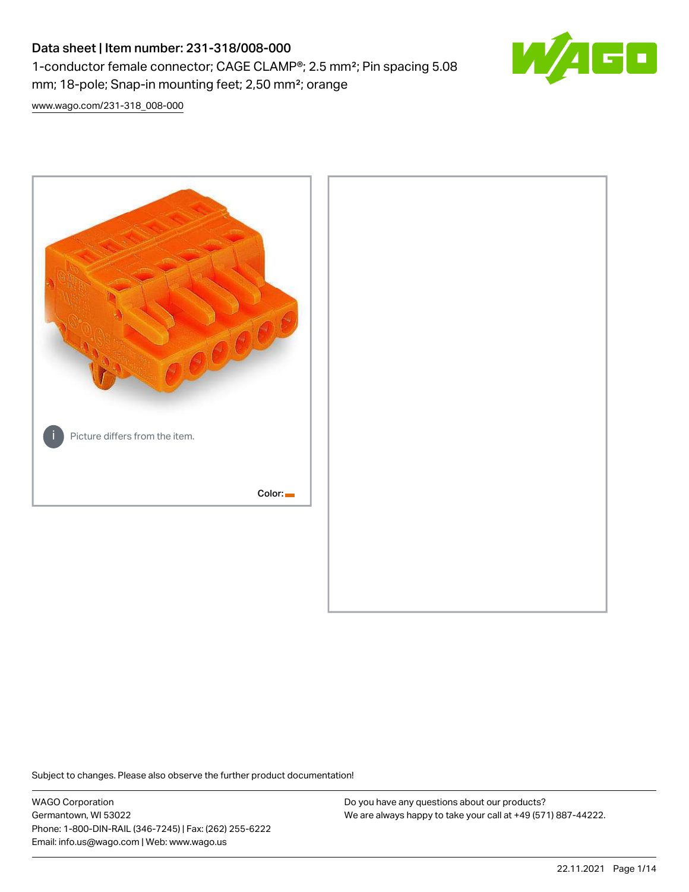# Data sheet | Item number: 231-318/008-000 1-conductor female connector; CAGE CLAMP®; 2.5 mm²; Pin spacing 5.08 mm; 18-pole; Snap-in mounting feet; 2,50 mm²; orange



[www.wago.com/231-318\\_008-000](http://www.wago.com/231-318_008-000)



Subject to changes. Please also observe the further product documentation!

WAGO Corporation Germantown, WI 53022 Phone: 1-800-DIN-RAIL (346-7245) | Fax: (262) 255-6222 Email: info.us@wago.com | Web: www.wago.us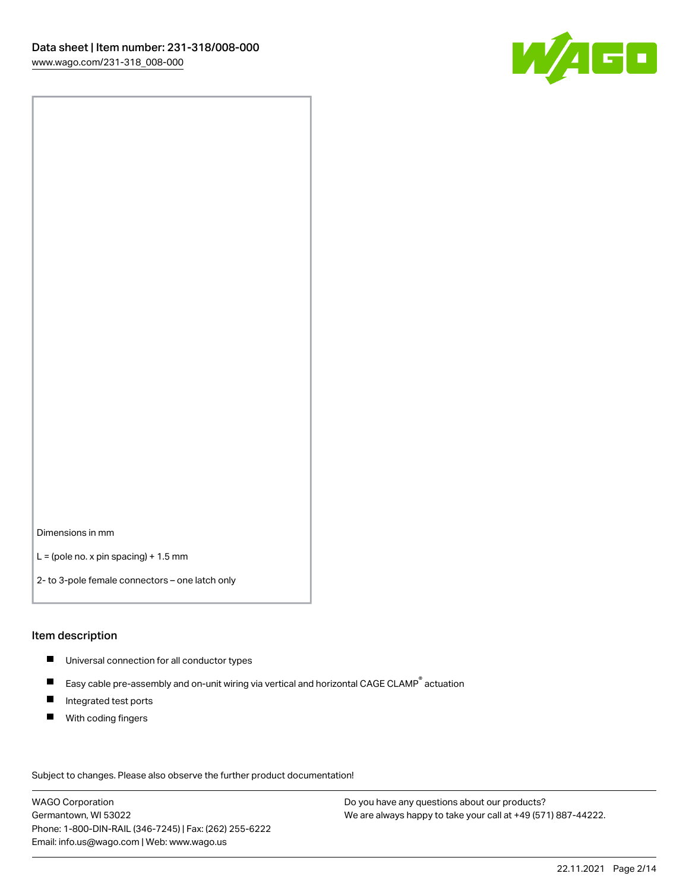

Dimensions in mm

 $L =$  (pole no. x pin spacing) + 1.5 mm

2- to 3-pole female connectors – one latch only

#### Item description

- **Universal connection for all conductor types**
- Easy cable pre-assembly and on-unit wiring via vertical and horizontal CAGE CLAMP<sup>®</sup> actuation  $\blacksquare$
- $\blacksquare$ Integrated test ports
- $\blacksquare$ With coding fingers

Subject to changes. Please also observe the further product documentation! Data

WAGO Corporation Germantown, WI 53022 Phone: 1-800-DIN-RAIL (346-7245) | Fax: (262) 255-6222 Email: info.us@wago.com | Web: www.wago.us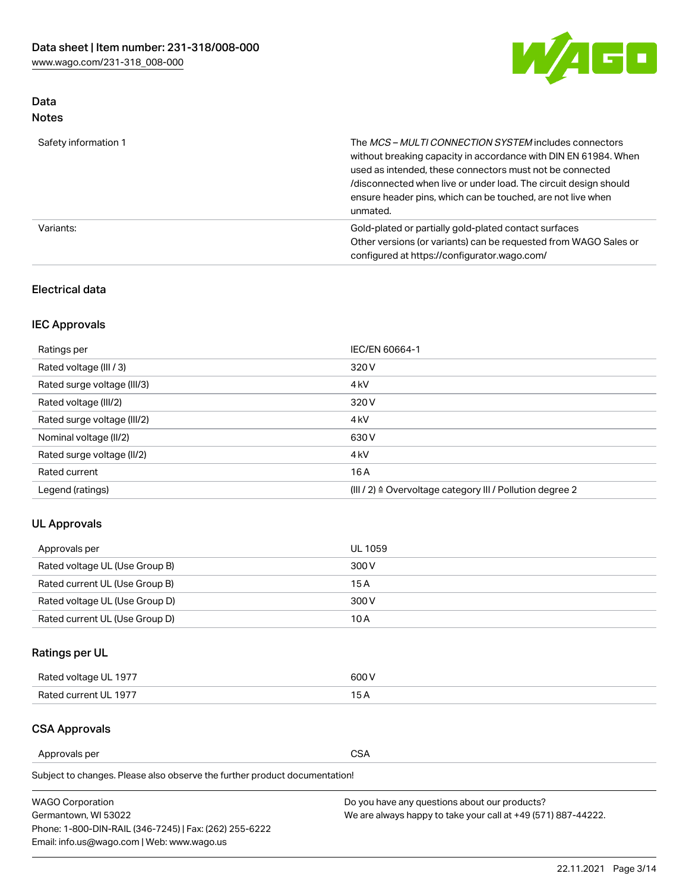

# Data Notes

| Safety information 1 | The MCS-MULTI CONNECTION SYSTEM includes connectors<br>without breaking capacity in accordance with DIN EN 61984. When<br>used as intended, these connectors must not be connected<br>/disconnected when live or under load. The circuit design should<br>ensure header pins, which can be touched, are not live when<br>unmated. |
|----------------------|-----------------------------------------------------------------------------------------------------------------------------------------------------------------------------------------------------------------------------------------------------------------------------------------------------------------------------------|
| Variants:            | Gold-plated or partially gold-plated contact surfaces<br>Other versions (or variants) can be requested from WAGO Sales or<br>configured at https://configurator.wago.com/                                                                                                                                                         |

# Electrical data

# IEC Approvals

| Ratings per                 | IEC/EN 60664-1                                                        |
|-----------------------------|-----------------------------------------------------------------------|
| Rated voltage (III / 3)     | 320 V                                                                 |
| Rated surge voltage (III/3) | 4 <sub>k</sub> V                                                      |
| Rated voltage (III/2)       | 320 V                                                                 |
| Rated surge voltage (III/2) | 4 <sub>k</sub> V                                                      |
| Nominal voltage (II/2)      | 630 V                                                                 |
| Rated surge voltage (II/2)  | 4 <sub>k</sub> V                                                      |
| Rated current               | 16A                                                                   |
| Legend (ratings)            | $(III / 2)$ $\triangle$ Overvoltage category III / Pollution degree 2 |

## UL Approvals

| Approvals per                  | UL 1059 |
|--------------------------------|---------|
| Rated voltage UL (Use Group B) | 300 V   |
| Rated current UL (Use Group B) | 15 A    |
| Rated voltage UL (Use Group D) | 300 V   |
| Rated current UL (Use Group D) | 10 A    |

# Ratings per UL

| Rated voltage UL 1977 | 300 V |
|-----------------------|-------|
| Rated current UL 1977 |       |

# CSA Approvals

Approvals per CSA

Subject to changes. Please also observe the further product documentation!

| <b>WAGO Corporation</b>                                | Do you have any questions about our products?                 |
|--------------------------------------------------------|---------------------------------------------------------------|
| Germantown, WI 53022                                   | We are always happy to take your call at +49 (571) 887-44222. |
| Phone: 1-800-DIN-RAIL (346-7245)   Fax: (262) 255-6222 |                                                               |
| Email: info.us@wago.com   Web: www.wago.us             |                                                               |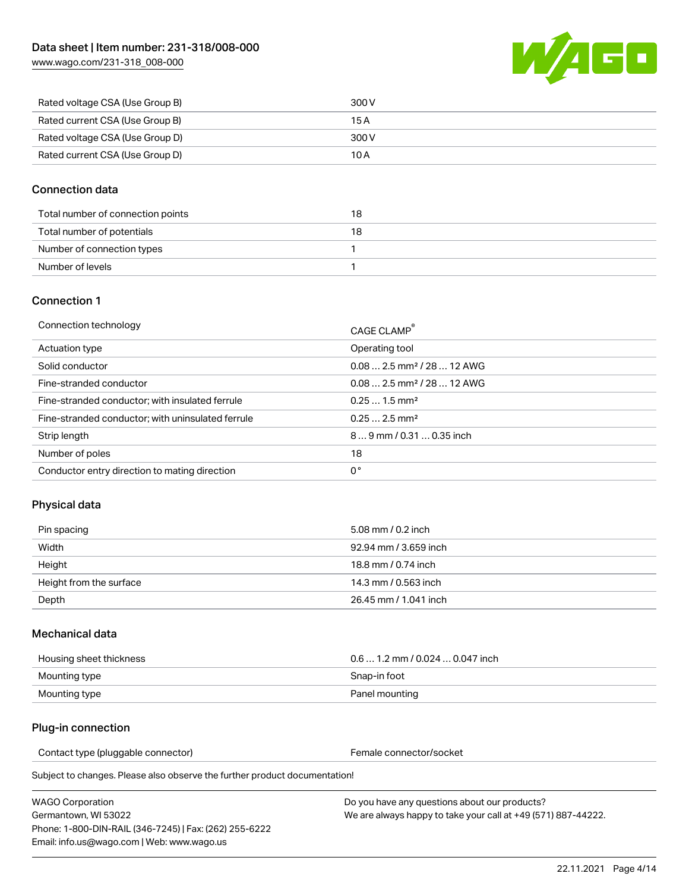[www.wago.com/231-318\\_008-000](http://www.wago.com/231-318_008-000)



| Rated voltage CSA (Use Group B) | 300 V |
|---------------------------------|-------|
| Rated current CSA (Use Group B) | 15 A  |
| Rated voltage CSA (Use Group D) | 300 V |
| Rated current CSA (Use Group D) | 10 A  |

### Connection data

| Total number of connection points | 18 |
|-----------------------------------|----|
| Total number of potentials        | 18 |
| Number of connection types        |    |
| Number of levels                  |    |

### Connection 1

| Connection technology                             | CAGE CLAMP®                            |
|---------------------------------------------------|----------------------------------------|
| Actuation type                                    | Operating tool                         |
| Solid conductor                                   | $0.082.5$ mm <sup>2</sup> / 28  12 AWG |
| Fine-stranded conductor                           | $0.082.5$ mm <sup>2</sup> / 28  12 AWG |
| Fine-stranded conductor; with insulated ferrule   | $0.251.5$ mm <sup>2</sup>              |
| Fine-stranded conductor; with uninsulated ferrule | $0.252.5$ mm <sup>2</sup>              |
| Strip length                                      | $89$ mm $/ 0.310.35$ inch              |
| Number of poles                                   | 18                                     |
| Conductor entry direction to mating direction     | 0°                                     |

## Physical data

| Pin spacing             | 5.08 mm / 0.2 inch    |
|-------------------------|-----------------------|
| Width                   | 92.94 mm / 3.659 inch |
| Height                  | 18.8 mm / 0.74 inch   |
| Height from the surface | 14.3 mm / 0.563 inch  |
| Depth                   | 26.45 mm / 1.041 inch |

### Mechanical data

| Housing sheet thickness | $0.61.2$ mm / 0.024  0.047 inch |
|-------------------------|---------------------------------|
| Mounting type           | Snap-in foot                    |
| Mounting type           | Panel mounting                  |

### Plug-in connection

Contact type (pluggable connector) example a set of the Female connector/socket

Subject to changes. Please also observe the further product documentation!

WAGO Corporation Germantown, WI 53022 Phone: 1-800-DIN-RAIL (346-7245) | Fax: (262) 255-6222 Email: info.us@wago.com | Web: www.wago.us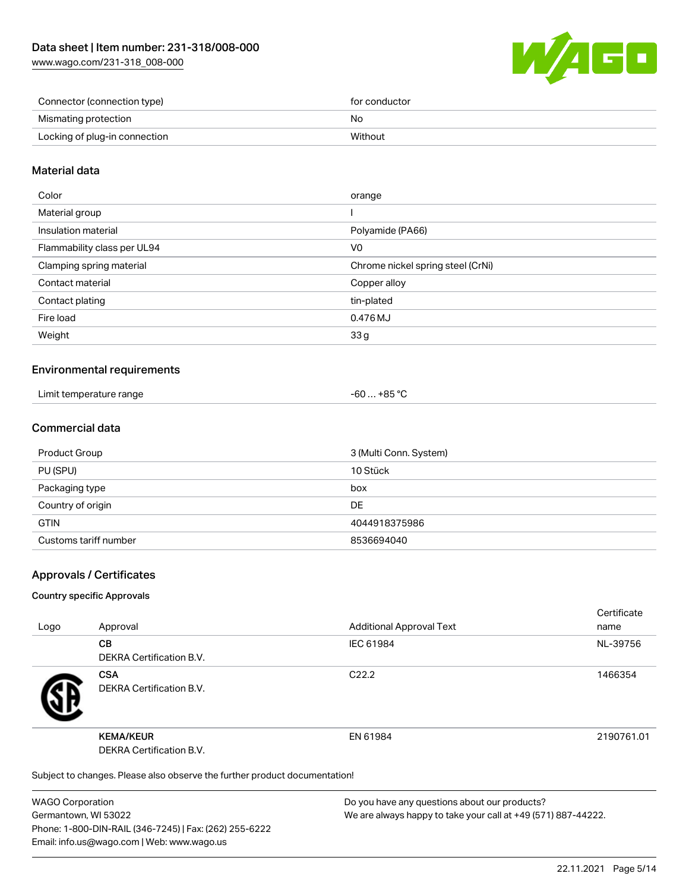[www.wago.com/231-318\\_008-000](http://www.wago.com/231-318_008-000)



| Connector (connection type)   | for conductor |
|-------------------------------|---------------|
| Mismating protection          | No            |
| Locking of plug-in connection | Without       |

### Material data

| Color                       | orange                            |
|-----------------------------|-----------------------------------|
| Material group              |                                   |
| Insulation material         | Polyamide (PA66)                  |
| Flammability class per UL94 | V0                                |
| Clamping spring material    | Chrome nickel spring steel (CrNi) |
| Contact material            | Copper alloy                      |
| Contact plating             | tin-plated                        |
| Fire load                   | 0.476 MJ                          |
| Weight                      | 33g                               |
|                             |                                   |

### Environmental requirements

| Limit temperature range<br>. | -60 … +85 °Ր |
|------------------------------|--------------|
|------------------------------|--------------|

### Commercial data

| Product Group         | 3 (Multi Conn. System) |
|-----------------------|------------------------|
| PU (SPU)              | 10 Stück               |
| Packaging type        | box                    |
| Country of origin     | <b>DE</b>              |
| <b>GTIN</b>           | 4044918375986          |
| Customs tariff number | 8536694040             |

### Approvals / Certificates

#### Country specific Approvals

| Logo                                                                       | Approval                                     | <b>Additional Approval Text</b> | Certificate<br>name |
|----------------------------------------------------------------------------|----------------------------------------------|---------------------------------|---------------------|
|                                                                            | <b>CB</b><br><b>DEKRA Certification B.V.</b> | IEC 61984                       | NL-39756            |
|                                                                            | <b>CSA</b><br>DEKRA Certification B.V.       | C <sub>22.2</sub>               | 1466354             |
|                                                                            | <b>KEMA/KEUR</b><br>DEKRA Certification B.V. | EN 61984                        | 2190761.01          |
| Subject to changes. Please also observe the further product documentation! |                                              |                                 |                     |

WAGO Corporation Germantown, WI 53022 Phone: 1-800-DIN-RAIL (346-7245) | Fax: (262) 255-6222 Email: info.us@wago.com | Web: www.wago.us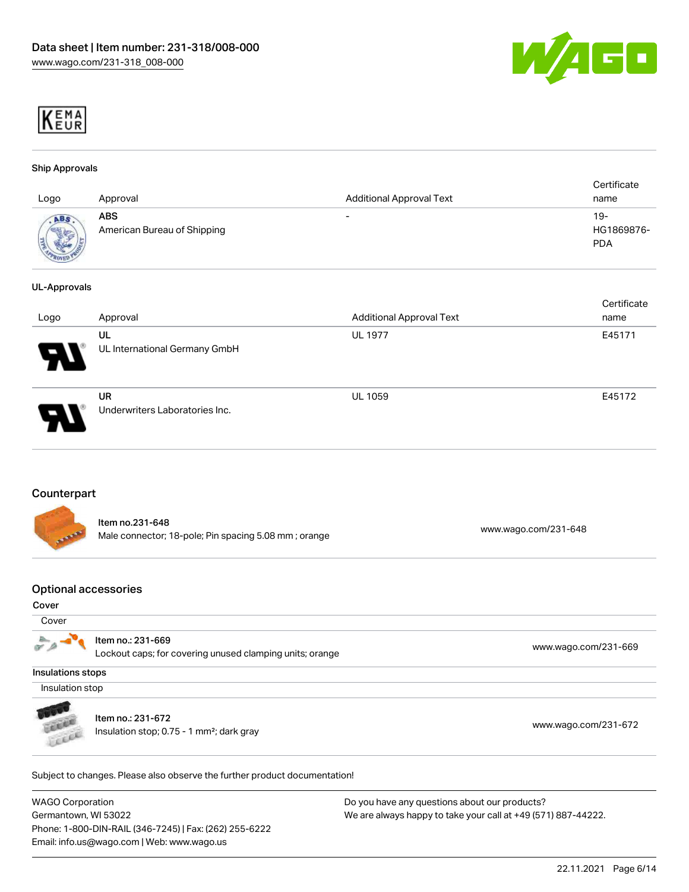



#### Ship Approvals

| Logo                         | Approval                                  | <b>Additional Approval Text</b> | Certificate<br>name               |
|------------------------------|-------------------------------------------|---------------------------------|-----------------------------------|
| ABS<br><b>SERVICE AND IN</b> | <b>ABS</b><br>American Bureau of Shipping | $\overline{\phantom{0}}$        | $19-$<br>HG1869876-<br><b>PDA</b> |

#### UL-Approvals

| Logo                       | Approval                                    | <b>Additional Approval Text</b> | Certificate<br>name |
|----------------------------|---------------------------------------------|---------------------------------|---------------------|
| $\boldsymbol{\mathcal{A}}$ | UL<br>UL International Germany GmbH         | <b>UL 1977</b>                  | E45171              |
|                            | <b>UR</b><br>Underwriters Laboratories Inc. | <b>UL 1059</b>                  | E45172              |

#### **Counterpart**

|              | ltem no.231-648                                      |                      |
|--------------|------------------------------------------------------|----------------------|
| <b>ATANA</b> | Male connector; 18-pole; Pin spacing 5.08 mm; orange | www.wago.com/231-648 |

#### Optional accessories

#### Cover

|                                                          | www.wago.com/231-669 |
|----------------------------------------------------------|----------------------|
|                                                          |                      |
| Lockout caps; for covering unused clamping units; orange |                      |
|                                                          |                      |

Insulations stops

Insulation stop



Item no.: 231-672 Insulation stop; 0.75 - 1 mm²; dark gray [www.wago.com/231-672](http://www.wago.com/231-672)

Item no.: 231-669

Subject to changes. Please also observe the further product documentation!

WAGO Corporation Germantown, WI 53022 Phone: 1-800-DIN-RAIL (346-7245) | Fax: (262) 255-6222 Email: info.us@wago.com | Web: www.wago.us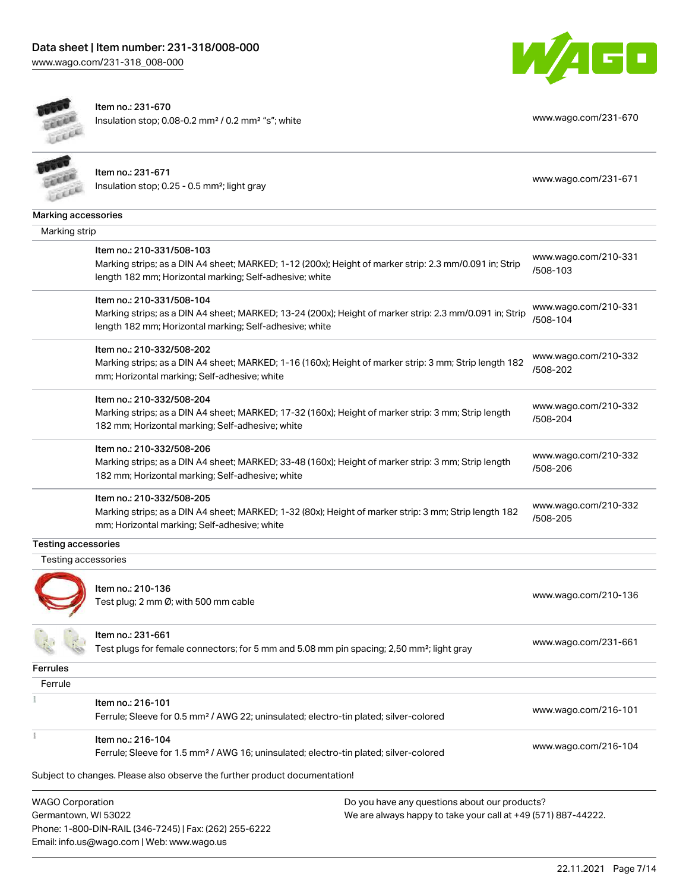Email: info.us@wago.com | Web: www.wago.us





 $\rightarrow$ 

Item no.: 231-670 Insulation stop; 0.08-0.2 mm<sup>2</sup> / 0.2 mm<sup>2</sup> "s"; white [www.wago.com/231-670](http://www.wago.com/231-670)

|                                                 | Item no.: 231-671<br>Insulation stop; 0.25 - 0.5 mm <sup>2</sup> ; light gray                                                                                                                        |                                                                                                                | www.wago.com/231-671             |
|-------------------------------------------------|------------------------------------------------------------------------------------------------------------------------------------------------------------------------------------------------------|----------------------------------------------------------------------------------------------------------------|----------------------------------|
| Marking accessories                             |                                                                                                                                                                                                      |                                                                                                                |                                  |
| Marking strip                                   |                                                                                                                                                                                                      |                                                                                                                |                                  |
|                                                 | Item no.: 210-331/508-103<br>Marking strips; as a DIN A4 sheet; MARKED; 1-12 (200x); Height of marker strip: 2.3 mm/0.091 in; Strip<br>length 182 mm; Horizontal marking; Self-adhesive; white       |                                                                                                                | www.wago.com/210-331<br>/508-103 |
|                                                 | Item no.: 210-331/508-104<br>Marking strips; as a DIN A4 sheet; MARKED; 13-24 (200x); Height of marker strip: 2.3 mm/0.091 in; Strip<br>length 182 mm; Horizontal marking; Self-adhesive; white      |                                                                                                                | www.wago.com/210-331<br>/508-104 |
|                                                 | Item no.: 210-332/508-202<br>Marking strips; as a DIN A4 sheet; MARKED; 1-16 (160x); Height of marker strip: 3 mm; Strip length 182<br>mm; Horizontal marking; Self-adhesive; white                  |                                                                                                                | www.wago.com/210-332<br>/508-202 |
|                                                 | Item no.: 210-332/508-204<br>Marking strips; as a DIN A4 sheet; MARKED; 17-32 (160x); Height of marker strip: 3 mm; Strip length<br>182 mm; Horizontal marking; Self-adhesive; white                 |                                                                                                                | www.wago.com/210-332<br>/508-204 |
|                                                 | Item no.: 210-332/508-206<br>Marking strips; as a DIN A4 sheet; MARKED; 33-48 (160x); Height of marker strip: 3 mm; Strip length<br>182 mm; Horizontal marking; Self-adhesive; white                 |                                                                                                                | www.wago.com/210-332<br>/508-206 |
|                                                 | Item no.: 210-332/508-205<br>Marking strips; as a DIN A4 sheet; MARKED; 1-32 (80x); Height of marker strip: 3 mm; Strip length 182<br>mm; Horizontal marking; Self-adhesive; white                   |                                                                                                                | www.wago.com/210-332<br>/508-205 |
| <b>Testing accessories</b>                      |                                                                                                                                                                                                      |                                                                                                                |                                  |
| Testing accessories                             |                                                                                                                                                                                                      |                                                                                                                |                                  |
|                                                 | Item no.: 210-136<br>Test plug; 2 mm Ø; with 500 mm cable                                                                                                                                            |                                                                                                                | www.wago.com/210-136             |
|                                                 | Item no.: 231-661<br>Test plugs for female connectors; for 5 mm and 5.08 mm pin spacing; 2,50 mm <sup>2</sup> ; light gray                                                                           |                                                                                                                | www.wago.com/231-661             |
| Ferrules                                        |                                                                                                                                                                                                      |                                                                                                                |                                  |
| Ferrule                                         |                                                                                                                                                                                                      |                                                                                                                |                                  |
|                                                 | Item no.: 216-101<br>Ferrule; Sleeve for 0.5 mm <sup>2</sup> / AWG 22; uninsulated; electro-tin plated; silver-colored                                                                               |                                                                                                                | www.wago.com/216-101             |
|                                                 | Item no.: 216-104<br>Ferrule; Sleeve for 1.5 mm <sup>2</sup> / AWG 16; uninsulated; electro-tin plated; silver-colored<br>Subject to changes. Please also observe the further product documentation! |                                                                                                                | www.wago.com/216-104             |
| <b>WAGO Corporation</b><br>Germantown, WI 53022 | Phone: 1-800-DIN-RAIL (346-7245)   Fax: (262) 255-6222                                                                                                                                               | Do you have any questions about our products?<br>We are always happy to take your call at +49 (571) 887-44222. |                                  |

22.11.2021 Page 7/14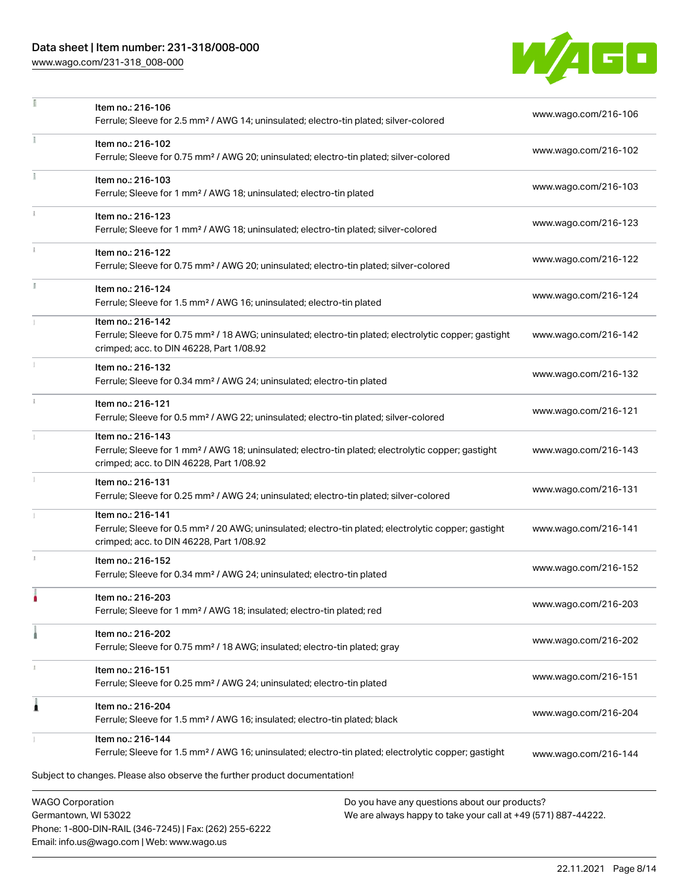# Data sheet | Item number: 231-318/008-000

Phone: 1-800-DIN-RAIL (346-7245) | Fax: (262) 255-6222

Email: info.us@wago.com | Web: www.wago.us

[www.wago.com/231-318\\_008-000](http://www.wago.com/231-318_008-000)

 $\frac{1}{\pi}$ 



|              | Item no.: 216-106<br>Ferrule; Sleeve for 2.5 mm <sup>2</sup> / AWG 14; uninsulated; electro-tin plated; silver-colored                                                             |                                                                                                                | www.wago.com/216-106 |
|--------------|------------------------------------------------------------------------------------------------------------------------------------------------------------------------------------|----------------------------------------------------------------------------------------------------------------|----------------------|
|              | Item no.: 216-102<br>Ferrule; Sleeve for 0.75 mm <sup>2</sup> / AWG 20; uninsulated; electro-tin plated; silver-colored                                                            |                                                                                                                | www.wago.com/216-102 |
|              | Item no.: 216-103<br>Ferrule; Sleeve for 1 mm <sup>2</sup> / AWG 18; uninsulated; electro-tin plated                                                                               |                                                                                                                | www.wago.com/216-103 |
| $\mathbf{1}$ | Item no.: 216-123<br>Ferrule; Sleeve for 1 mm <sup>2</sup> / AWG 18; uninsulated; electro-tin plated; silver-colored                                                               |                                                                                                                | www.wago.com/216-123 |
|              | Item no.: 216-122<br>Ferrule; Sleeve for 0.75 mm <sup>2</sup> / AWG 20; uninsulated; electro-tin plated; silver-colored                                                            |                                                                                                                | www.wago.com/216-122 |
|              | Item no.: 216-124<br>Ferrule; Sleeve for 1.5 mm <sup>2</sup> / AWG 16; uninsulated; electro-tin plated                                                                             |                                                                                                                | www.wago.com/216-124 |
|              | Item no.: 216-142<br>Ferrule; Sleeve for 0.75 mm <sup>2</sup> / 18 AWG; uninsulated; electro-tin plated; electrolytic copper; gastight<br>crimped; acc. to DIN 46228, Part 1/08.92 |                                                                                                                | www.wago.com/216-142 |
|              | Item no.: 216-132<br>Ferrule; Sleeve for 0.34 mm <sup>2</sup> / AWG 24; uninsulated; electro-tin plated                                                                            |                                                                                                                | www.wago.com/216-132 |
|              | Item no.: 216-121<br>Ferrule; Sleeve for 0.5 mm <sup>2</sup> / AWG 22; uninsulated; electro-tin plated; silver-colored                                                             |                                                                                                                | www.wago.com/216-121 |
|              | Item no.: 216-143<br>Ferrule; Sleeve for 1 mm <sup>2</sup> / AWG 18; uninsulated; electro-tin plated; electrolytic copper; gastight<br>crimped; acc. to DIN 46228, Part 1/08.92    |                                                                                                                | www.wago.com/216-143 |
|              | Item no.: 216-131<br>Ferrule; Sleeve for 0.25 mm <sup>2</sup> / AWG 24; uninsulated; electro-tin plated; silver-colored                                                            |                                                                                                                | www.wago.com/216-131 |
|              | Item no.: 216-141<br>Ferrule; Sleeve for 0.5 mm <sup>2</sup> / 20 AWG; uninsulated; electro-tin plated; electrolytic copper; gastight<br>crimped; acc. to DIN 46228, Part 1/08.92  |                                                                                                                | www.wago.com/216-141 |
| I.           | Item no.: 216-152<br>Ferrule; Sleeve for 0.34 mm <sup>2</sup> / AWG 24; uninsulated; electro-tin plated                                                                            |                                                                                                                | www.wago.com/216-152 |
|              | Item no.: 216-203<br>Ferrule; Sleeve for 1 mm <sup>2</sup> / AWG 18; insulated; electro-tin plated; red                                                                            |                                                                                                                | www.wago.com/216-203 |
|              | Item no.: 216-202<br>Ferrule; Sleeve for 0.75 mm <sup>2</sup> / 18 AWG; insulated; electro-tin plated; gray                                                                        |                                                                                                                | www.wago.com/216-202 |
|              | Item no.: 216-151<br>Ferrule; Sleeve for 0.25 mm <sup>2</sup> / AWG 24; uninsulated; electro-tin plated                                                                            |                                                                                                                | www.wago.com/216-151 |
| 1            | Item no.: 216-204<br>Ferrule; Sleeve for 1.5 mm <sup>2</sup> / AWG 16; insulated; electro-tin plated; black                                                                        |                                                                                                                | www.wago.com/216-204 |
|              | Item no.: 216-144<br>Ferrule; Sleeve for 1.5 mm <sup>2</sup> / AWG 16; uninsulated; electro-tin plated; electrolytic copper; gastight                                              |                                                                                                                | www.wago.com/216-144 |
|              | Subject to changes. Please also observe the further product documentation!                                                                                                         |                                                                                                                |                      |
|              | <b>WAGO Corporation</b><br>Germantown, WI 53022                                                                                                                                    | Do you have any questions about our products?<br>We are always happy to take your call at +49 (571) 887-44222. |                      |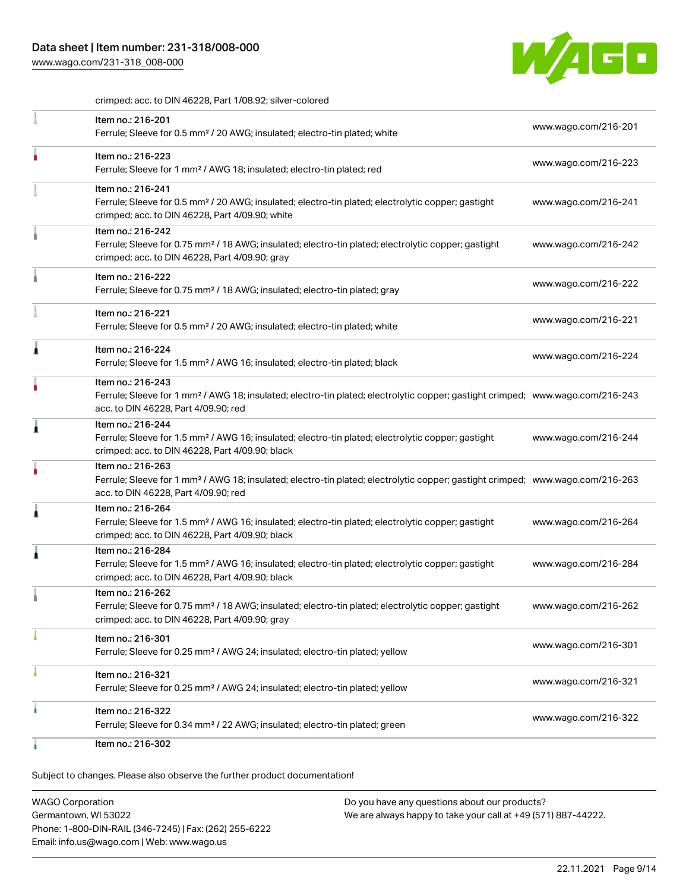[www.wago.com/231-318\\_008-000](http://www.wago.com/231-318_008-000)



crimped; acc. to DIN 46228, Part 1/08.92; silver-colored

| Item no.: 216-201<br>Ferrule; Sleeve for 0.5 mm <sup>2</sup> / 20 AWG; insulated; electro-tin plated; white                                                                                             | www.wago.com/216-201 |
|---------------------------------------------------------------------------------------------------------------------------------------------------------------------------------------------------------|----------------------|
| Item no.: 216-223<br>Ferrule; Sleeve for 1 mm <sup>2</sup> / AWG 18; insulated; electro-tin plated; red                                                                                                 | www.wago.com/216-223 |
| Item no.: 216-241<br>Ferrule; Sleeve for 0.5 mm <sup>2</sup> / 20 AWG; insulated; electro-tin plated; electrolytic copper; gastight<br>crimped; acc. to DIN 46228, Part 4/09.90; white                  | www.wago.com/216-241 |
| Item no.: 216-242<br>Ferrule; Sleeve for 0.75 mm <sup>2</sup> / 18 AWG; insulated; electro-tin plated; electrolytic copper; gastight<br>crimped; acc. to DIN 46228, Part 4/09.90; gray                  | www.wago.com/216-242 |
| Item no.: 216-222<br>Ferrule; Sleeve for 0.75 mm <sup>2</sup> / 18 AWG; insulated; electro-tin plated; gray                                                                                             | www.wago.com/216-222 |
| Item no.: 216-221<br>Ferrule; Sleeve for 0.5 mm <sup>2</sup> / 20 AWG; insulated; electro-tin plated; white                                                                                             | www.wago.com/216-221 |
| Item no.: 216-224<br>Ferrule; Sleeve for 1.5 mm <sup>2</sup> / AWG 16; insulated; electro-tin plated; black                                                                                             | www.wago.com/216-224 |
| Item no.: 216-243<br>Ferrule; Sleeve for 1 mm <sup>2</sup> / AWG 18; insulated; electro-tin plated; electrolytic copper; gastight crimped; www.wago.com/216-243<br>acc. to DIN 46228, Part 4/09.90; red |                      |
| Item no.: 216-244<br>Ferrule; Sleeve for 1.5 mm <sup>2</sup> / AWG 16; insulated; electro-tin plated; electrolytic copper; gastight<br>crimped; acc. to DIN 46228, Part 4/09.90; black                  | www.wago.com/216-244 |
| Item no.: 216-263<br>Ferrule; Sleeve for 1 mm <sup>2</sup> / AWG 18; insulated; electro-tin plated; electrolytic copper; gastight crimped; www.wago.com/216-263<br>acc. to DIN 46228, Part 4/09.90; red |                      |
| Item no.: 216-264<br>Ferrule; Sleeve for 1.5 mm <sup>2</sup> / AWG 16; insulated; electro-tin plated; electrolytic copper; gastight<br>crimped; acc. to DIN 46228, Part 4/09.90; black                  | www.wago.com/216-264 |
| Item no.: 216-284<br>Ferrule; Sleeve for 1.5 mm <sup>2</sup> / AWG 16; insulated; electro-tin plated; electrolytic copper; gastight<br>crimped; acc. to DIN 46228, Part 4/09.90; black                  | www.wago.com/216-284 |
| Item no.: 216-262<br>Ferrule; Sleeve for 0.75 mm <sup>2</sup> / 18 AWG; insulated; electro-tin plated; electrolytic copper; gastight<br>crimped; acc. to DIN 46228, Part 4/09.90; gray                  | www.wago.com/216-262 |
| Item no.: 216-301<br>Ferrule; Sleeve for 0.25 mm <sup>2</sup> / AWG 24; insulated; electro-tin plated; yellow                                                                                           | www.wago.com/216-301 |
| Item no.: 216-321<br>Ferrule; Sleeve for 0.25 mm <sup>2</sup> / AWG 24; insulated; electro-tin plated; yellow                                                                                           | www.wago.com/216-321 |
| Item no.: 216-322<br>Ferrule; Sleeve for 0.34 mm <sup>2</sup> / 22 AWG; insulated; electro-tin plated; green                                                                                            | www.wago.com/216-322 |
| Item no.: 216-302                                                                                                                                                                                       |                      |

Subject to changes. Please also observe the further product documentation!

WAGO Corporation Germantown, WI 53022 Phone: 1-800-DIN-RAIL (346-7245) | Fax: (262) 255-6222 Email: info.us@wago.com | Web: www.wago.us Do you have any questions about our products? We are always happy to take your call at +49 (571) 887-44222.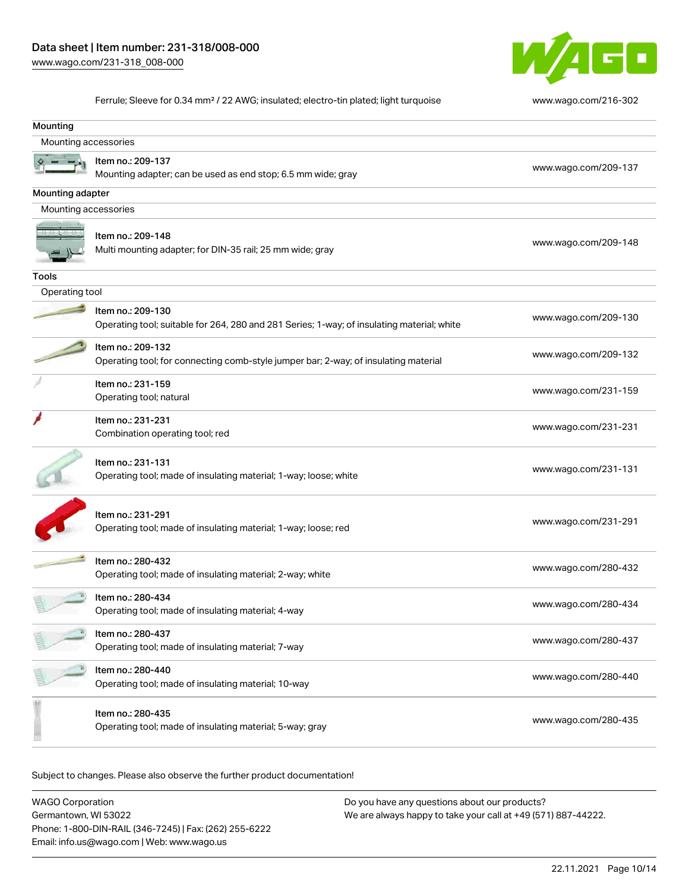

Ferrule; Sleeve for 0.34 mm² / 22 AWG; insulated; electro-tin plated; light turquoise [www.wago.com/216-302](http://www.wago.com/216-302)

| Mounting             |                                                                                            |                      |  |  |  |  |  |
|----------------------|--------------------------------------------------------------------------------------------|----------------------|--|--|--|--|--|
| Mounting accessories |                                                                                            |                      |  |  |  |  |  |
|                      | Item no.: 209-137                                                                          |                      |  |  |  |  |  |
|                      | Mounting adapter; can be used as end stop; 6.5 mm wide; gray                               | www.wago.com/209-137 |  |  |  |  |  |
| Mounting adapter     |                                                                                            |                      |  |  |  |  |  |
| Mounting accessories |                                                                                            |                      |  |  |  |  |  |
|                      |                                                                                            |                      |  |  |  |  |  |
|                      | Item no.: 209-148<br>Multi mounting adapter; for DIN-35 rail; 25 mm wide; gray             | www.wago.com/209-148 |  |  |  |  |  |
|                      |                                                                                            |                      |  |  |  |  |  |
| <b>Tools</b>         |                                                                                            |                      |  |  |  |  |  |
| Operating tool       |                                                                                            |                      |  |  |  |  |  |
|                      | Item no.: 209-130                                                                          | www.wago.com/209-130 |  |  |  |  |  |
|                      | Operating tool; suitable for 264, 280 and 281 Series; 1-way; of insulating material; white |                      |  |  |  |  |  |
|                      | Item no.: 209-132                                                                          |                      |  |  |  |  |  |
|                      | Operating tool; for connecting comb-style jumper bar; 2-way; of insulating material        | www.wago.com/209-132 |  |  |  |  |  |
|                      | Item no.: 231-159                                                                          |                      |  |  |  |  |  |
|                      | Operating tool; natural                                                                    | www.wago.com/231-159 |  |  |  |  |  |
|                      | Item no.: 231-231                                                                          |                      |  |  |  |  |  |
|                      | Combination operating tool; red                                                            | www.wago.com/231-231 |  |  |  |  |  |
|                      |                                                                                            |                      |  |  |  |  |  |
|                      | Item no.: 231-131                                                                          | www.wago.com/231-131 |  |  |  |  |  |
|                      | Operating tool; made of insulating material; 1-way; loose; white                           |                      |  |  |  |  |  |
|                      |                                                                                            |                      |  |  |  |  |  |
|                      | Item no.: 231-291<br>Operating tool; made of insulating material; 1-way; loose; red        | www.wago.com/231-291 |  |  |  |  |  |
|                      |                                                                                            |                      |  |  |  |  |  |
|                      | Item no.: 280-432                                                                          |                      |  |  |  |  |  |
|                      | Operating tool; made of insulating material; 2-way; white                                  | www.wago.com/280-432 |  |  |  |  |  |
|                      | Item no.: 280-434                                                                          |                      |  |  |  |  |  |
|                      | Operating tool; made of insulating material; 4-way                                         | www.wago.com/280-434 |  |  |  |  |  |
|                      |                                                                                            |                      |  |  |  |  |  |
|                      | Item no.: 280-437<br>Operating tool; made of insulating material; 7-way                    | www.wago.com/280-437 |  |  |  |  |  |
|                      |                                                                                            |                      |  |  |  |  |  |
|                      | Item no.: 280-440                                                                          | www.wago.com/280-440 |  |  |  |  |  |
|                      | Operating tool; made of insulating material; 10-way                                        |                      |  |  |  |  |  |
|                      | Item no.: 280-435                                                                          |                      |  |  |  |  |  |
|                      | Operating tool; made of insulating material; 5-way; gray                                   | www.wago.com/280-435 |  |  |  |  |  |
|                      |                                                                                            |                      |  |  |  |  |  |

Subject to changes. Please also observe the further product documentation!

WAGO Corporation Germantown, WI 53022 Phone: 1-800-DIN-RAIL (346-7245) | Fax: (262) 255-6222 Email: info.us@wago.com | Web: www.wago.us Do you have any questions about our products? We are always happy to take your call at +49 (571) 887-44222.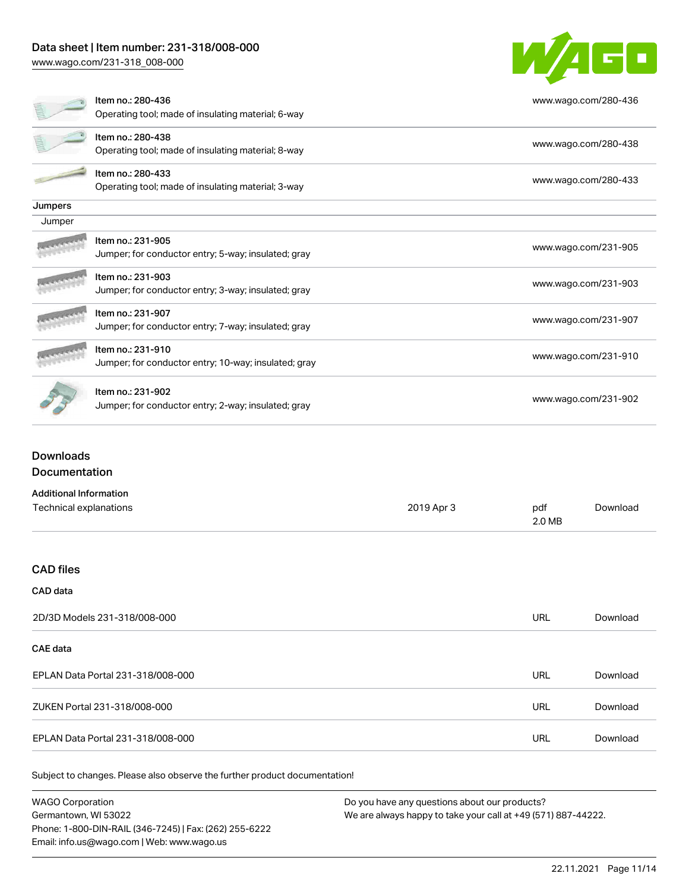# Data sheet | Item number: 231-318/008-000

[www.wago.com/231-318\\_008-000](http://www.wago.com/231-318_008-000)



|         | Item no.: 280-436                                    | www.wago.com/280-436 |
|---------|------------------------------------------------------|----------------------|
|         | Operating tool; made of insulating material; 6-way   |                      |
|         | Item no.: 280-438                                    |                      |
|         | Operating tool; made of insulating material; 8-way   | www.wago.com/280-438 |
|         | Item no.: 280-433                                    | www.wago.com/280-433 |
|         | Operating tool; made of insulating material; 3-way   |                      |
| Jumpers |                                                      |                      |
| Jumper  |                                                      |                      |
|         | Item no.: 231-905                                    | www.wago.com/231-905 |
|         | Jumper; for conductor entry; 5-way; insulated; gray  |                      |
|         | Item no.: 231-903                                    | www.wago.com/231-903 |
|         | Jumper; for conductor entry; 3-way; insulated; gray  |                      |
|         | Item no.: 231-907                                    |                      |
|         | Jumper; for conductor entry; 7-way; insulated; gray  | www.wago.com/231-907 |
|         | Item no.: 231-910                                    |                      |
|         | Jumper; for conductor entry; 10-way; insulated; gray | www.wago.com/231-910 |
|         | Item no.: 231-902                                    |                      |
|         | Jumper; for conductor entry; 2-way; insulated; gray  | www.wago.com/231-902 |
|         |                                                      |                      |

### Downloads Documentation

| <b>Additional Information</b>     |            |               |          |
|-----------------------------------|------------|---------------|----------|
| Technical explanations            | 2019 Apr 3 | pdf<br>2.0 MB | Download |
|                                   |            |               |          |
| <b>CAD files</b>                  |            |               |          |
| CAD data                          |            |               |          |
| 2D/3D Models 231-318/008-000      |            | <b>URL</b>    | Download |
| <b>CAE data</b>                   |            |               |          |
| EPLAN Data Portal 231-318/008-000 |            | <b>URL</b>    | Download |
| ZUKEN Portal 231-318/008-000      |            | <b>URL</b>    | Download |
| EPLAN Data Portal 231-318/008-000 |            | <b>URL</b>    | Download |
|                                   |            |               |          |

Subject to changes. Please also observe the further product documentation!

WAGO Corporation Germantown, WI 53022 Phone: 1-800-DIN-RAIL (346-7245) | Fax: (262) 255-6222 Email: info.us@wago.com | Web: www.wago.us Do you have any questions about our products? We are always happy to take your call at +49 (571) 887-44222.

22.11.2021 Page 11/14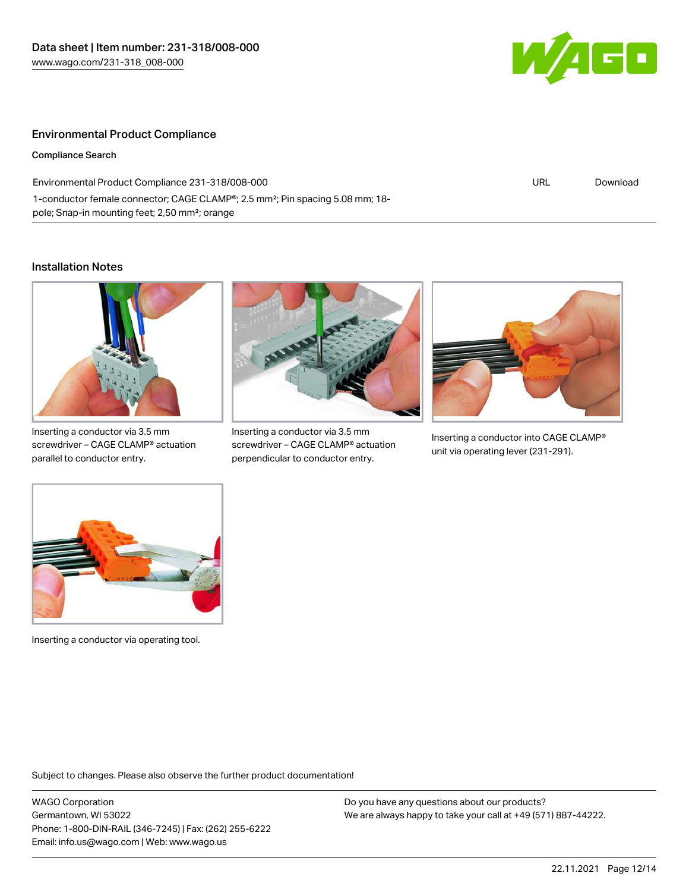

### Environmental Product Compliance

Compliance Search

| Environmental Product Compliance 231-318/008-000                                                       | URL | Download |
|--------------------------------------------------------------------------------------------------------|-----|----------|
| 1-conductor female connector; CAGE CLAMP <sup>®</sup> ; 2.5 mm <sup>2</sup> ; Pin spacing 5.08 mm; 18- |     |          |
| pole; Snap-in mounting feet; 2,50 mm <sup>2</sup> ; orange                                             |     |          |

### Installation Notes



Inserting a conductor via 3.5 mm screwdriver – CAGE CLAMP® actuation parallel to conductor entry.



Inserting a conductor via 3.5 mm screwdriver – CAGE CLAMP® actuation perpendicular to conductor entry.



Inserting a conductor into CAGE CLAMP® unit via operating lever (231-291).



Inserting a conductor via operating tool.

Subject to changes. Please also observe the further product documentation!

WAGO Corporation Germantown, WI 53022 Phone: 1-800-DIN-RAIL (346-7245) | Fax: (262) 255-6222 Email: info.us@wago.com | Web: www.wago.us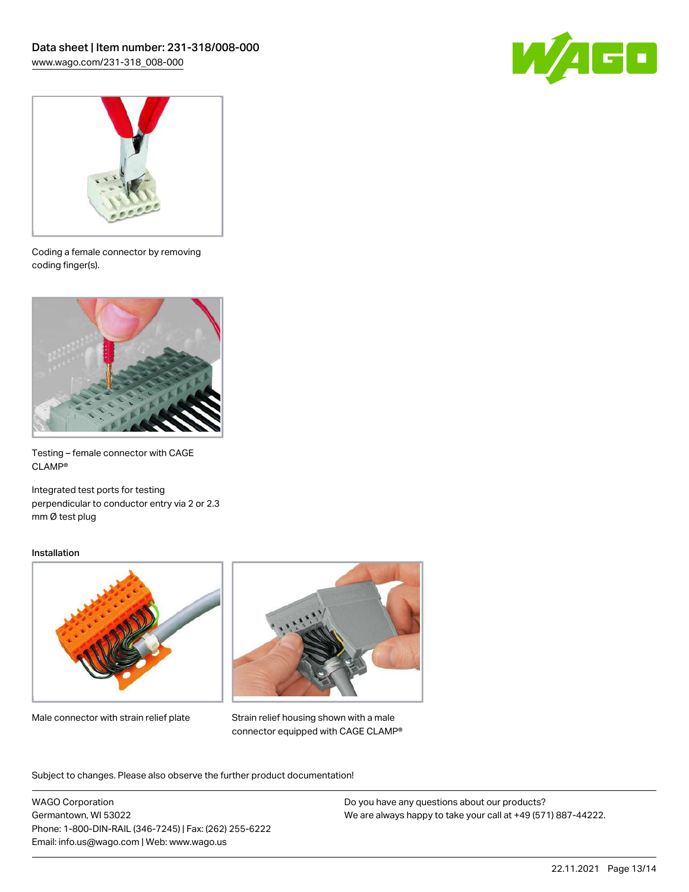



Coding a female connector by removing coding finger(s).



Testing – female connector with CAGE CLAMP®

Integrated test ports for testing perpendicular to conductor entry via 2 or 2.3 mm Ø test plug

#### Installation



Male connector with strain relief plate



Strain relief housing shown with a male connector equipped with CAGE CLAMP®

Subject to changes. Please also observe the further product documentation!

WAGO Corporation Germantown, WI 53022 Phone: 1-800-DIN-RAIL (346-7245) | Fax: (262) 255-6222 Email: info.us@wago.com | Web: www.wago.us